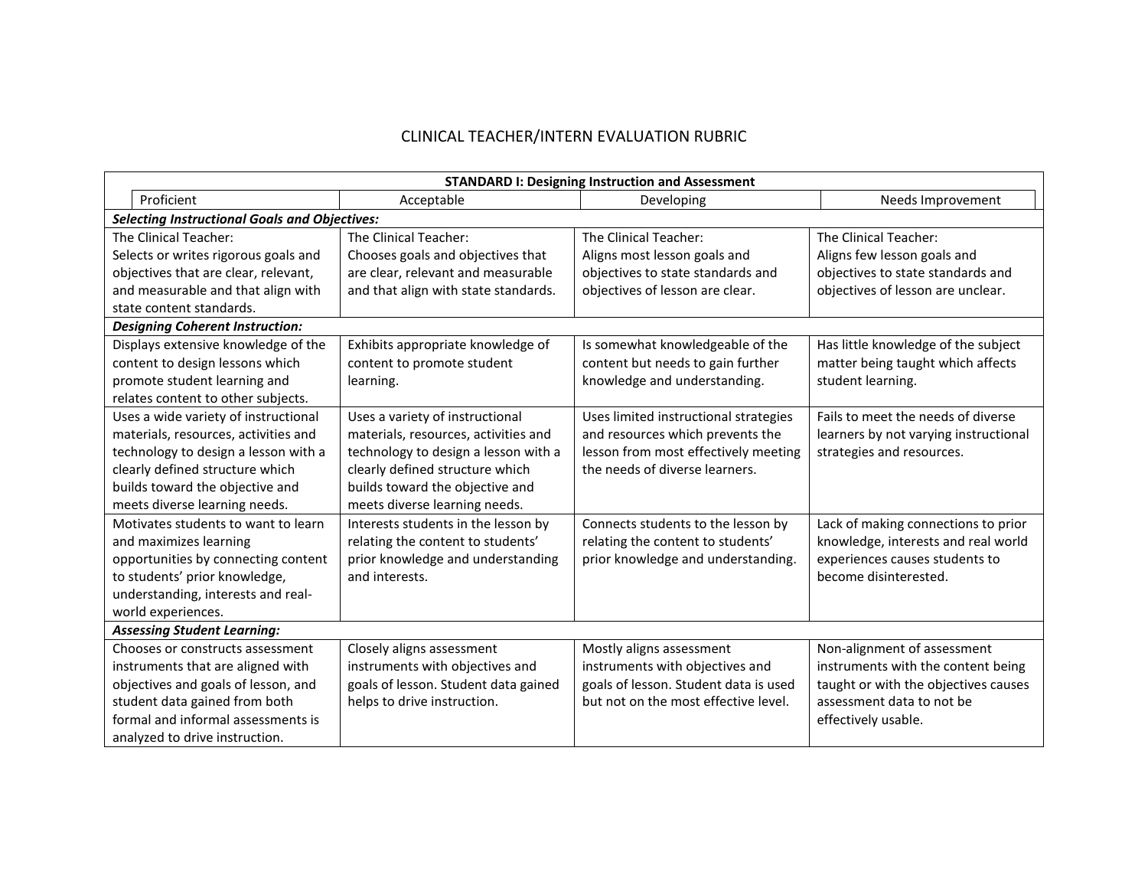## CLINICAL TEACHER/INTERN EVALUATION RUBRIC

| <b>STANDARD I: Designing Instruction and Assessment</b> |                                      |                                       |                                       |  |
|---------------------------------------------------------|--------------------------------------|---------------------------------------|---------------------------------------|--|
| Proficient                                              | Acceptable                           | Developing                            | Needs Improvement                     |  |
| <b>Selecting Instructional Goals and Objectives:</b>    |                                      |                                       |                                       |  |
| The Clinical Teacher:                                   | The Clinical Teacher:                | The Clinical Teacher:                 | The Clinical Teacher:                 |  |
| Selects or writes rigorous goals and                    | Chooses goals and objectives that    | Aligns most lesson goals and          | Aligns few lesson goals and           |  |
| objectives that are clear, relevant,                    | are clear, relevant and measurable   | objectives to state standards and     | objectives to state standards and     |  |
| and measurable and that align with                      | and that align with state standards. | objectives of lesson are clear.       | objectives of lesson are unclear.     |  |
| state content standards.                                |                                      |                                       |                                       |  |
| <b>Designing Coherent Instruction:</b>                  |                                      |                                       |                                       |  |
| Displays extensive knowledge of the                     | Exhibits appropriate knowledge of    | Is somewhat knowledgeable of the      | Has little knowledge of the subject   |  |
| content to design lessons which                         | content to promote student           | content but needs to gain further     | matter being taught which affects     |  |
| promote student learning and                            | learning.                            | knowledge and understanding.          | student learning.                     |  |
| relates content to other subjects.                      |                                      |                                       |                                       |  |
| Uses a wide variety of instructional                    | Uses a variety of instructional      | Uses limited instructional strategies | Fails to meet the needs of diverse    |  |
| materials, resources, activities and                    | materials, resources, activities and | and resources which prevents the      | learners by not varying instructional |  |
| technology to design a lesson with a                    | technology to design a lesson with a | lesson from most effectively meeting  | strategies and resources.             |  |
| clearly defined structure which                         | clearly defined structure which      | the needs of diverse learners.        |                                       |  |
| builds toward the objective and                         | builds toward the objective and      |                                       |                                       |  |
| meets diverse learning needs.                           | meets diverse learning needs.        |                                       |                                       |  |
| Motivates students to want to learn                     | Interests students in the lesson by  | Connects students to the lesson by    | Lack of making connections to prior   |  |
| and maximizes learning                                  | relating the content to students'    | relating the content to students'     | knowledge, interests and real world   |  |
| opportunities by connecting content                     | prior knowledge and understanding    | prior knowledge and understanding.    | experiences causes students to        |  |
| to students' prior knowledge,                           | and interests.                       |                                       | become disinterested.                 |  |
| understanding, interests and real-                      |                                      |                                       |                                       |  |
| world experiences.                                      |                                      |                                       |                                       |  |
| <b>Assessing Student Learning:</b>                      |                                      |                                       |                                       |  |
| Chooses or constructs assessment                        | Closely aligns assessment            | Mostly aligns assessment              | Non-alignment of assessment           |  |
| instruments that are aligned with                       | instruments with objectives and      | instruments with objectives and       | instruments with the content being    |  |
| objectives and goals of lesson, and                     | goals of lesson. Student data gained | goals of lesson. Student data is used | taught or with the objectives causes  |  |
| student data gained from both                           | helps to drive instruction.          | but not on the most effective level.  | assessment data to not be             |  |
| formal and informal assessments is                      |                                      |                                       | effectively usable.                   |  |
| analyzed to drive instruction.                          |                                      |                                       |                                       |  |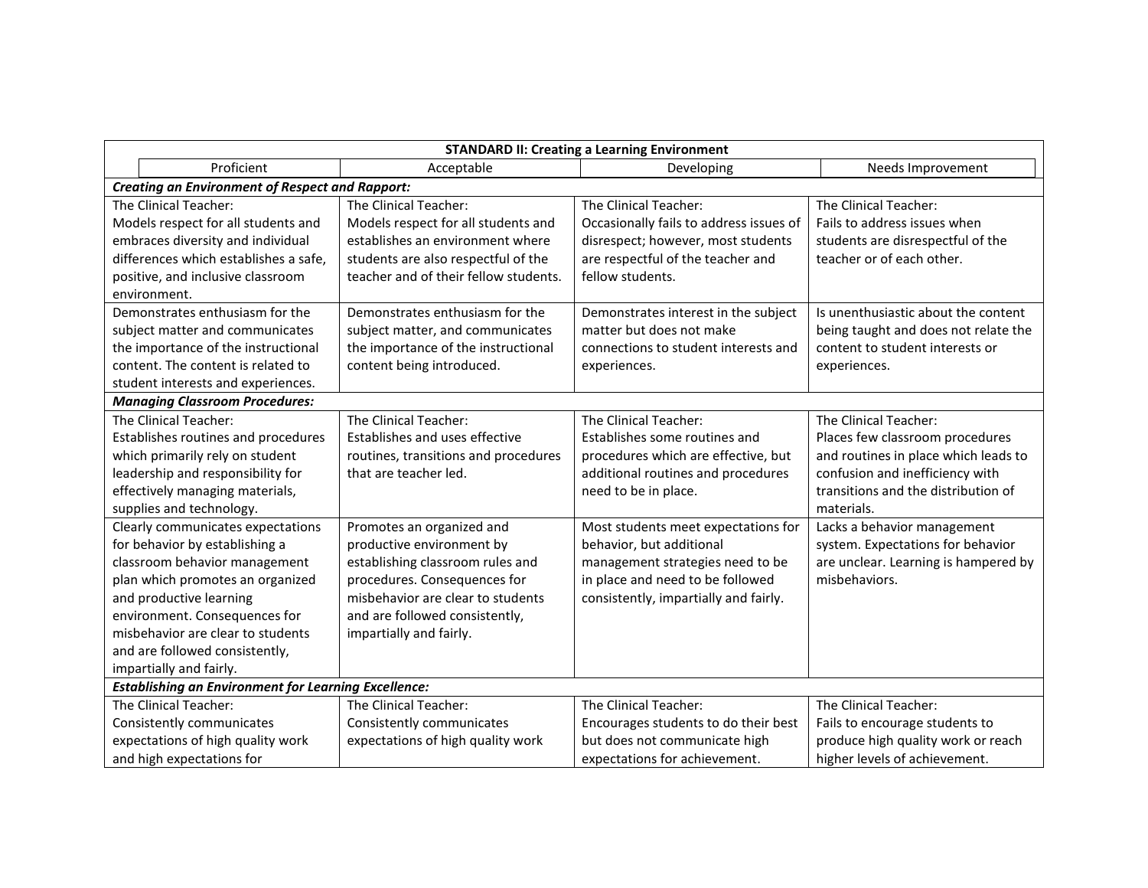| <b>STANDARD II: Creating a Learning Environment</b>         |                                       |                                         |                                      |  |
|-------------------------------------------------------------|---------------------------------------|-----------------------------------------|--------------------------------------|--|
| Proficient                                                  | Acceptable                            | Developing                              | Needs Improvement                    |  |
| <b>Creating an Environment of Respect and Rapport:</b>      |                                       |                                         |                                      |  |
| The Clinical Teacher:                                       | The Clinical Teacher:                 | The Clinical Teacher:                   | The Clinical Teacher:                |  |
| Models respect for all students and                         | Models respect for all students and   | Occasionally fails to address issues of | Fails to address issues when         |  |
| embraces diversity and individual                           | establishes an environment where      | disrespect; however, most students      | students are disrespectful of the    |  |
| differences which establishes a safe,                       | students are also respectful of the   | are respectful of the teacher and       | teacher or of each other.            |  |
| positive, and inclusive classroom                           | teacher and of their fellow students. | fellow students.                        |                                      |  |
| environment.                                                |                                       |                                         |                                      |  |
| Demonstrates enthusiasm for the                             | Demonstrates enthusiasm for the       | Demonstrates interest in the subject    | Is unenthusiastic about the content  |  |
| subject matter and communicates                             | subject matter, and communicates      | matter but does not make                | being taught and does not relate the |  |
| the importance of the instructional                         | the importance of the instructional   | connections to student interests and    | content to student interests or      |  |
| content. The content is related to                          | content being introduced.             | experiences.                            | experiences.                         |  |
| student interests and experiences.                          |                                       |                                         |                                      |  |
| <b>Managing Classroom Procedures:</b>                       |                                       |                                         |                                      |  |
| The Clinical Teacher:                                       | The Clinical Teacher:                 | The Clinical Teacher:                   | The Clinical Teacher:                |  |
| Establishes routines and procedures                         | Establishes and uses effective        | Establishes some routines and           | Places few classroom procedures      |  |
| which primarily rely on student                             | routines, transitions and procedures  | procedures which are effective, but     | and routines in place which leads to |  |
| leadership and responsibility for                           | that are teacher led.                 | additional routines and procedures      | confusion and inefficiency with      |  |
| effectively managing materials,                             |                                       | need to be in place.                    | transitions and the distribution of  |  |
| supplies and technology.                                    |                                       |                                         | materials.                           |  |
| Clearly communicates expectations                           | Promotes an organized and             | Most students meet expectations for     | Lacks a behavior management          |  |
| for behavior by establishing a                              | productive environment by             | behavior, but additional                | system. Expectations for behavior    |  |
| classroom behavior management                               | establishing classroom rules and      | management strategies need to be        | are unclear. Learning is hampered by |  |
| plan which promotes an organized                            | procedures. Consequences for          | in place and need to be followed        | misbehaviors.                        |  |
| and productive learning                                     | misbehavior are clear to students     | consistently, impartially and fairly.   |                                      |  |
| environment. Consequences for                               | and are followed consistently,        |                                         |                                      |  |
| misbehavior are clear to students                           | impartially and fairly.               |                                         |                                      |  |
| and are followed consistently,                              |                                       |                                         |                                      |  |
| impartially and fairly.                                     |                                       |                                         |                                      |  |
| <b>Establishing an Environment for Learning Excellence:</b> |                                       |                                         |                                      |  |
| The Clinical Teacher:                                       | The Clinical Teacher:                 | The Clinical Teacher:                   | The Clinical Teacher:                |  |
| Consistently communicates                                   | Consistently communicates             | Encourages students to do their best    | Fails to encourage students to       |  |
| expectations of high quality work                           | expectations of high quality work     | but does not communicate high           | produce high quality work or reach   |  |
| and high expectations for                                   |                                       | expectations for achievement.           | higher levels of achievement.        |  |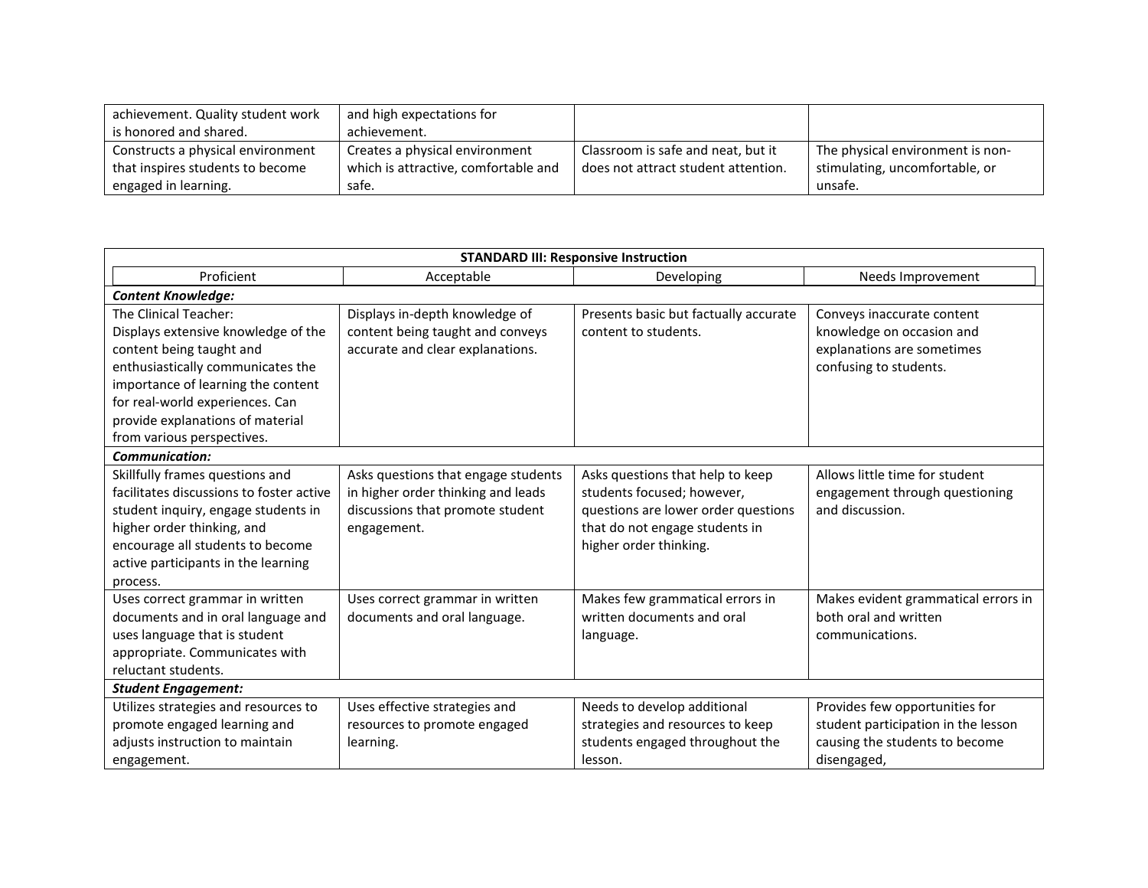| achievement. Quality student work | and high expectations for            |                                     |                                  |
|-----------------------------------|--------------------------------------|-------------------------------------|----------------------------------|
| is honored and shared.            | achievement.                         |                                     |                                  |
| Constructs a physical environment | Creates a physical environment       | Classroom is safe and neat, but it  | The physical environment is non- |
| that inspires students to become  | which is attractive, comfortable and | does not attract student attention. | stimulating, uncomfortable, or   |
| engaged in learning.              | safe.                                |                                     | unsafe.                          |

| <b>STANDARD III: Responsive Instruction</b>                                                                                                                                                                                                                              |                                                                                                                              |                                                                                                                                                                   |                                                                                                                        |
|--------------------------------------------------------------------------------------------------------------------------------------------------------------------------------------------------------------------------------------------------------------------------|------------------------------------------------------------------------------------------------------------------------------|-------------------------------------------------------------------------------------------------------------------------------------------------------------------|------------------------------------------------------------------------------------------------------------------------|
| Proficient                                                                                                                                                                                                                                                               | Acceptable                                                                                                                   | Developing                                                                                                                                                        | Needs Improvement                                                                                                      |
| <b>Content Knowledge:</b>                                                                                                                                                                                                                                                |                                                                                                                              |                                                                                                                                                                   |                                                                                                                        |
| The Clinical Teacher:<br>Displays extensive knowledge of the<br>content being taught and<br>enthusiastically communicates the<br>importance of learning the content<br>for real-world experiences. Can<br>provide explanations of material<br>from various perspectives. | Displays in-depth knowledge of<br>content being taught and conveys<br>accurate and clear explanations.                       | Presents basic but factually accurate<br>content to students.                                                                                                     | Conveys inaccurate content<br>knowledge on occasion and<br>explanations are sometimes<br>confusing to students.        |
| <b>Communication:</b>                                                                                                                                                                                                                                                    |                                                                                                                              |                                                                                                                                                                   |                                                                                                                        |
| Skillfully frames questions and<br>facilitates discussions to foster active<br>student inquiry, engage students in<br>higher order thinking, and<br>encourage all students to become<br>active participants in the learning<br>process.                                  | Asks questions that engage students<br>in higher order thinking and leads<br>discussions that promote student<br>engagement. | Asks questions that help to keep<br>students focused; however,<br>questions are lower order questions<br>that do not engage students in<br>higher order thinking. | Allows little time for student<br>engagement through questioning<br>and discussion.                                    |
| Uses correct grammar in written<br>documents and in oral language and<br>uses language that is student<br>appropriate. Communicates with<br>reluctant students.                                                                                                          | Uses correct grammar in written<br>documents and oral language.                                                              | Makes few grammatical errors in<br>written documents and oral<br>language.                                                                                        | Makes evident grammatical errors in<br>both oral and written<br>communications.                                        |
| <b>Student Engagement:</b>                                                                                                                                                                                                                                               |                                                                                                                              |                                                                                                                                                                   |                                                                                                                        |
| Utilizes strategies and resources to<br>promote engaged learning and<br>adjusts instruction to maintain<br>engagement.                                                                                                                                                   | Uses effective strategies and<br>resources to promote engaged<br>learning.                                                   | Needs to develop additional<br>strategies and resources to keep<br>students engaged throughout the<br>lesson.                                                     | Provides few opportunities for<br>student participation in the lesson<br>causing the students to become<br>disengaged, |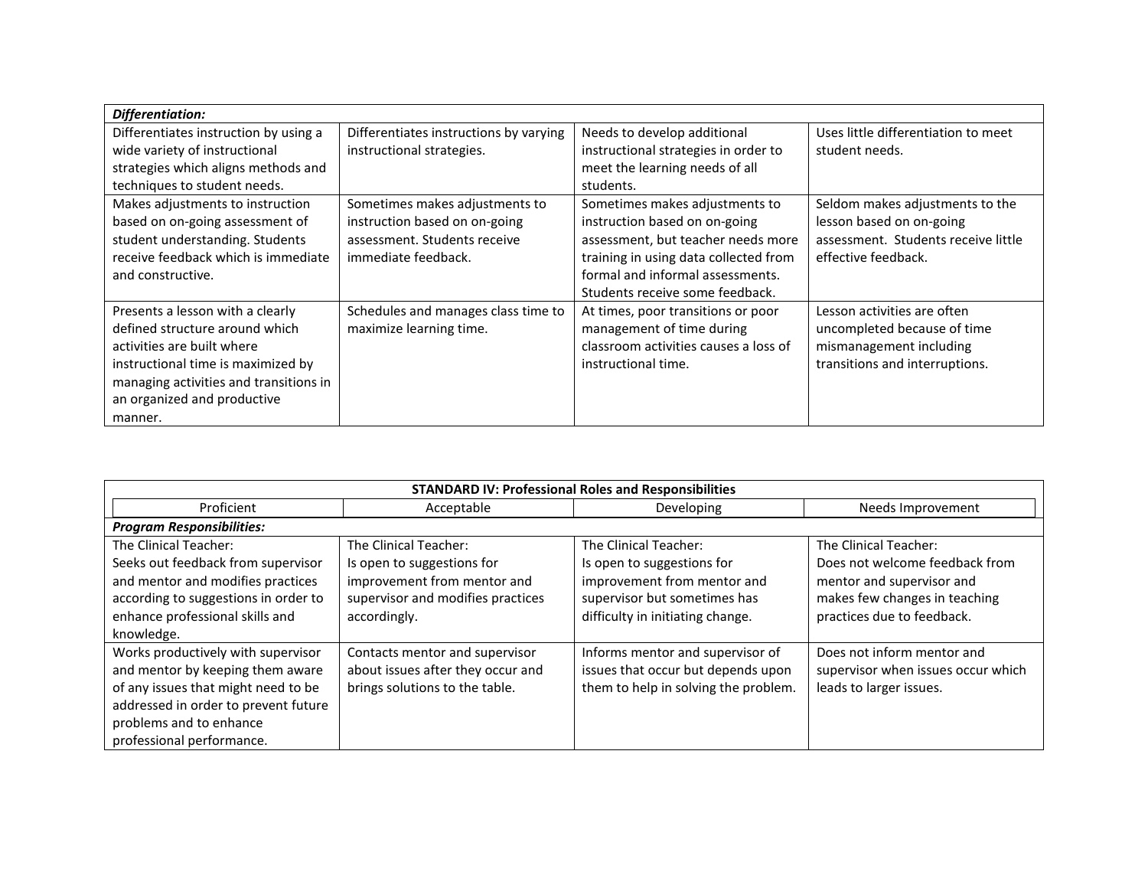| Differentiation:                       |                                        |                                       |                                     |
|----------------------------------------|----------------------------------------|---------------------------------------|-------------------------------------|
| Differentiates instruction by using a  | Differentiates instructions by varying | Needs to develop additional           | Uses little differentiation to meet |
| wide variety of instructional          | instructional strategies.              | instructional strategies in order to  | student needs.                      |
| strategies which aligns methods and    |                                        | meet the learning needs of all        |                                     |
| techniques to student needs.           |                                        | students.                             |                                     |
| Makes adjustments to instruction       | Sometimes makes adjustments to         | Sometimes makes adjustments to        | Seldom makes adjustments to the     |
| based on on-going assessment of        | instruction based on on-going          | instruction based on on-going         | lesson based on on-going            |
| student understanding. Students        | assessment. Students receive           | assessment, but teacher needs more    | assessment. Students receive little |
| receive feedback which is immediate    | immediate feedback.                    | training in using data collected from | effective feedback.                 |
| and constructive.                      |                                        | formal and informal assessments.      |                                     |
|                                        |                                        | Students receive some feedback.       |                                     |
| Presents a lesson with a clearly       | Schedules and manages class time to    | At times, poor transitions or poor    | Lesson activities are often         |
| defined structure around which         | maximize learning time.                | management of time during             | uncompleted because of time         |
| activities are built where             |                                        | classroom activities causes a loss of | mismanagement including             |
| instructional time is maximized by     |                                        | instructional time.                   | transitions and interruptions.      |
| managing activities and transitions in |                                        |                                       |                                     |
| an organized and productive            |                                        |                                       |                                     |
| manner.                                |                                        |                                       |                                     |

| <b>STANDARD IV: Professional Roles and Responsibilities</b>                                                                                                                                                   |                                                                                                                                         |                                                                                                                                                        |                                                                                                                                                     |
|---------------------------------------------------------------------------------------------------------------------------------------------------------------------------------------------------------------|-----------------------------------------------------------------------------------------------------------------------------------------|--------------------------------------------------------------------------------------------------------------------------------------------------------|-----------------------------------------------------------------------------------------------------------------------------------------------------|
| Proficient                                                                                                                                                                                                    | Acceptable                                                                                                                              | Developing                                                                                                                                             | Needs Improvement                                                                                                                                   |
| <b>Program Responsibilities:</b>                                                                                                                                                                              |                                                                                                                                         |                                                                                                                                                        |                                                                                                                                                     |
| The Clinical Teacher:<br>Seeks out feedback from supervisor<br>and mentor and modifies practices<br>according to suggestions in order to<br>enhance professional skills and<br>knowledge.                     | The Clinical Teacher:<br>Is open to suggestions for<br>improvement from mentor and<br>supervisor and modifies practices<br>accordingly. | The Clinical Teacher:<br>Is open to suggestions for<br>improvement from mentor and<br>supervisor but sometimes has<br>difficulty in initiating change. | The Clinical Teacher:<br>Does not welcome feedback from<br>mentor and supervisor and<br>makes few changes in teaching<br>practices due to feedback. |
| Works productively with supervisor<br>and mentor by keeping them aware<br>of any issues that might need to be<br>addressed in order to prevent future<br>problems and to enhance<br>professional performance. | Contacts mentor and supervisor<br>about issues after they occur and<br>brings solutions to the table.                                   | Informs mentor and supervisor of<br>issues that occur but depends upon<br>them to help in solving the problem.                                         | Does not inform mentor and<br>supervisor when issues occur which<br>leads to larger issues.                                                         |